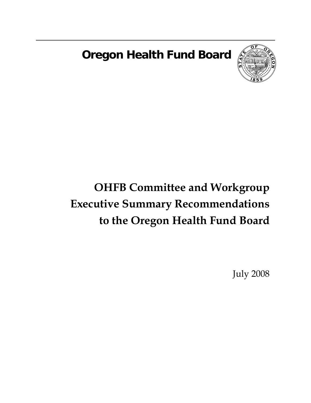**Oregon Health Fund Board** 



# **OHFB Committee and Workgroup Executive Summary Recommendations to the Oregon Health Fund Board**

July 2008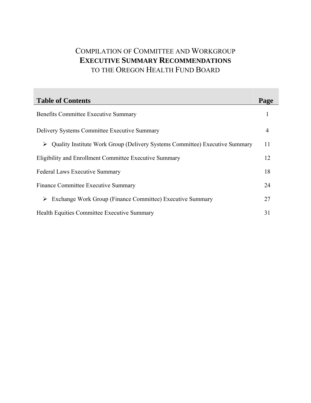## COMPILATION OF COMMITTEE AND WORKGROUP **EXECUTIVE SUMMARY RECOMMENDATIONS** TO THE OREGON HEALTH FUND BOARD

| <b>Table of Contents</b>                                                    | Page |  |
|-----------------------------------------------------------------------------|------|--|
| <b>Benefits Committee Executive Summary</b>                                 |      |  |
| Delivery Systems Committee Executive Summary                                |      |  |
| Quality Institute Work Group (Delivery Systems Committee) Executive Summary | 11   |  |
| Eligibility and Enrollment Committee Executive Summary                      | 12   |  |
| <b>Federal Laws Executive Summary</b>                                       |      |  |
| Finance Committee Executive Summary                                         |      |  |
| Exchange Work Group (Finance Committee) Executive Summary                   | 27   |  |
| <b>Health Equities Committee Executive Summary</b>                          | 31   |  |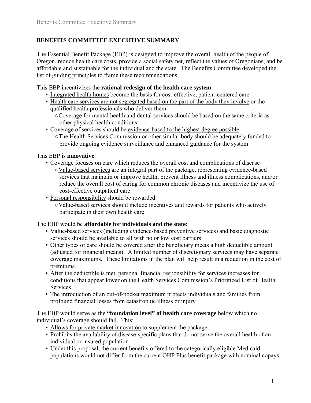## **BENEFITS COMMITTEE EXECUTIVE SUMMARY**

The Essential Benefit Package (EBP) is designed to improve the overall health of the people of Oregon, reduce health care costs, provide a social safety net, reflect the values of Oregonians, and be affordable and sustainable for the individual and the state. The Benefits Committee developed the list of guiding principles to frame these recommendations.

This EBP incentivizes the **rational redesign of the health care system**:

- Integrated health homes become the basis for cost-effective, patient-centered care
- Health care services are not segregated based on the part of the body they involve or the qualified health professionals who deliver them ○Coverage for mental health and dental services should be based on the same criteria as
- other physical health conditions • Coverage of services should be evidence-based to the highest degree possible ○The Health Services Commission or other similar body should be adequately funded to provide ongoing evidence surveillance and enhanced guidance for the system

This EBP is **innovative**:

- Coverage focuses on care which reduces the overall cost and complications of disease ○Value-based services are an integral part of the package, representing evidence-based services that maintain or improve health, prevent illness and illness complications, and/or reduce the overall cost of caring for common chronic diseases and incentivize the use of cost-effective outpatient care
- Personal responsibility should be rewarded

○Value-based services should include incentives and rewards for patients who actively participate in their own health care

#### The EBP would be **affordable for individuals and the state**:

- Value-based services (including evidence-based preventive services) and basic diagnostic services should be available to all with no or low cost barriers
- Other types of care should be covered after the beneficiary meets a high deductible amount (adjusted for financial means). A limited number of discretionary services may have separate coverage maximums. These limitations in the plan will help result in a reduction in the cost of premiums.
- After the deductible is met, personal financial responsibility for services increases for conditions that appear lower on the Health Services Commission's Prioritized List of Health **Services**
- The introduction of an out-of-pocket maximum protects individuals and families from profound financial losses from catastrophic illness or injury

The EBP would serve as the **"foundation level" of health care coverage** below which no individual's coverage should fall. This:

- Allows for private market innovation to supplement the package
- Prohibits the availability of disease-specific plans that do not serve the overall health of an individual or insured population
- Under this proposal, the current benefits offered to the categorically eligible Medicaid populations would not differ from the current OHP Plus benefit package with nominal copays.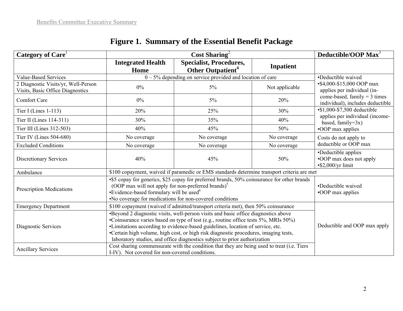| Category of Care <sup>1</sup>                                           | Cost Sharing <sup>2</sup>                                                                                                                                                                                                                                                                                                                                                                                                       |                                                                 |                | Deductible/OOP Max <sup>3</sup>                                                                                                 |  |
|-------------------------------------------------------------------------|---------------------------------------------------------------------------------------------------------------------------------------------------------------------------------------------------------------------------------------------------------------------------------------------------------------------------------------------------------------------------------------------------------------------------------|-----------------------------------------------------------------|----------------|---------------------------------------------------------------------------------------------------------------------------------|--|
|                                                                         | <b>Integrated Health</b><br>Home                                                                                                                                                                                                                                                                                                                                                                                                | <b>Specialist, Procedures,</b><br>Other Outpatient <sup>4</sup> | Inpatient      |                                                                                                                                 |  |
| <b>Value-Based Services</b>                                             | $0 - 5\%$ depending on service provided and location of care                                                                                                                                                                                                                                                                                                                                                                    |                                                                 |                | •Deductible waived                                                                                                              |  |
| 2 Diagnostic Visits/yr, Well-Person<br>Visits, Basic Office Diagnostics | $0\%$                                                                                                                                                                                                                                                                                                                                                                                                                           | $5\%$                                                           | Not applicable | •\$4,000-\$15,000 OOP max<br>applies per individual (in-                                                                        |  |
| <b>Comfort Care</b>                                                     | $0\%$                                                                                                                                                                                                                                                                                                                                                                                                                           | $5\%$                                                           | 20%            | come-based, family $=$ 3 times<br>individual), includes deductible                                                              |  |
| Tier I (Lines $1-113$ )                                                 | 20%                                                                                                                                                                                                                                                                                                                                                                                                                             | 25%                                                             | 30%            | $\overline{\text{•}81,000}$ -\$7,500 deductible<br>applies per individual (income-<br>based, family= $3x$ )<br>•OOP max applies |  |
| Tier II (Lines 114-311)                                                 | 30%                                                                                                                                                                                                                                                                                                                                                                                                                             | 35%                                                             | 40%            |                                                                                                                                 |  |
| Tier III (Lines 312-503)                                                | 40%                                                                                                                                                                                                                                                                                                                                                                                                                             | 45%                                                             | 50%            |                                                                                                                                 |  |
| Tier IV (Lines $504-680$ )                                              | No coverage                                                                                                                                                                                                                                                                                                                                                                                                                     | No coverage                                                     | No coverage    | Costs do not apply to<br>deductible or OOP max                                                                                  |  |
| <b>Excluded Conditions</b>                                              | No coverage                                                                                                                                                                                                                                                                                                                                                                                                                     | No coverage                                                     | No coverage    |                                                                                                                                 |  |
| <b>Discretionary Services</b>                                           | 40%                                                                                                                                                                                                                                                                                                                                                                                                                             | 45%                                                             | 50%            | •Deductible applies<br>•OOP max does not apply<br>$\cdot$ \$2,000/yr limit                                                      |  |
| Ambulance                                                               | \$100 copayment, waived if paramedic or EMS standards determine transport criteria are met                                                                                                                                                                                                                                                                                                                                      |                                                                 |                |                                                                                                                                 |  |
| <b>Prescription Medications</b>                                         | •\$5 copay for generics, \$25 copay for preferred brands, 50% coinsurance for other brands<br>(OOP max will not apply for non-preferred brands) <sup>5</sup><br>•Evidence-based formulary will be used <sup>6</sup><br>. No coverage for medications for non-covered conditions                                                                                                                                                 |                                                                 |                | •Deductible waived<br>•OOP max applies                                                                                          |  |
| <b>Emergency Department</b>                                             | \$100 copayment (waived if admitted/transport criteria met), then 50% coinsurance                                                                                                                                                                                                                                                                                                                                               |                                                                 |                |                                                                                                                                 |  |
| Diagnostic Services                                                     | •Beyond 2 diagnostic visits, well-person visits and basic office diagnostics above<br>•Coinsurance varies based on type of test (e.g., routine office tests 5%, MRIs 50%)<br>•Limitations according to evidence-based guidelines, location of service, etc.<br>•Certain high volume, high cost, or high risk diagnostic procedures, imaging tests,<br>laboratory studies, and office diagnostics subject to prior authorization |                                                                 |                | Deductible and OOP max apply                                                                                                    |  |
| <b>Ancillary Services</b>                                               | Cost sharing commensurate with the condition that they are being used to treat (i.e. Tiers<br>I-IV). Not covered for non-covered conditions.                                                                                                                                                                                                                                                                                    |                                                                 |                |                                                                                                                                 |  |

# **Figure 1. Summary of the Essential Benefit Package**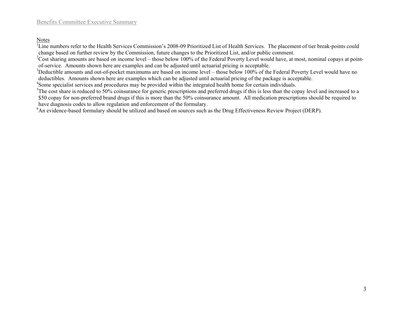Notes

<sup>1</sup>Line numbers refer to the Health Services Commission's 2008-09 Prioritized List of Health Services. The placement of tier break-points could change based on further review by the Commission, future changes to the Prioritized List, and/or public comment.

 $2$ Cost sharing amounts are based on income level – those below 100% of the Federal Poverty Level would have, at most, nominal copays at pointof-service. Amounts shown here are examples and can be adjusted until actuarial pricing is acceptable.

<sup>3</sup>Deductible amounts and out-of-pocket maximums are based on income level – those below 100% of the Federal Poverty Level would have no deductibles. Amounts shown here are examples which can be adjusted until actuarial pricing of the package is acceptable.

4Some specialist services and procedures may be provided within the integrated health home for certain individuals.

 $5$ The cost share is reduced to 50% coinsurance for generic prescriptions and preferred drugs if this is less than the copay level and increased to a \$50 copay for non-preferred brand drugs if this is more than the 50% coinsurance amount. All medication prescriptions should be required to have diagnosis codes to allow regulation and enforcement of the formulary.

<sup>6</sup>An evidence-based formulary should be utilized and based on sources such as the Drug Effectiveness Review Project (DERP).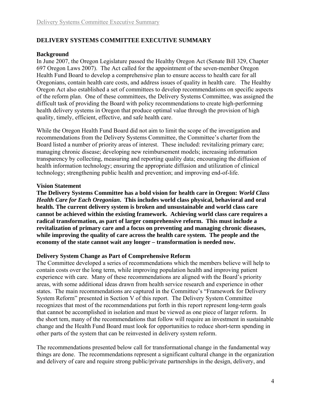#### **DELIVERY SYSTEMS COMMITTEE EXECUTIVE SUMMARY**

#### **Background**

In June 2007, the Oregon Legislature passed the Healthy Oregon Act (Senate Bill 329, Chapter 697 Oregon Laws 2007). The Act called for the appointment of the seven-member Oregon Health Fund Board to develop a comprehensive plan to ensure access to health care for all Oregonians, contain health care costs, and address issues of quality in health care. The Healthy Oregon Act also established a set of committees to develop recommendations on specific aspects of the reform plan. One of these committees, the Delivery Systems Committee, was assigned the difficult task of providing the Board with policy recommendations to create high-performing health delivery systems in Oregon that produce optimal value through the provision of high quality, timely, efficient, effective, and safe health care.

While the Oregon Health Fund Board did not aim to limit the scope of the investigation and recommendations from the Delivery Systems Committee, the Committee's charter from the Board listed a number of priority areas of interest. These included: revitalizing primary care; managing chronic disease; developing new reimbursement models; increasing information transparency by collecting, measuring and reporting quality data; encouraging the diffusion of health information technology; ensuring the appropriate diffusion and utilization of clinical technology; strengthening public health and prevention; and improving end-of-life.

#### **Vision Statement**

**The Delivery Systems Committee has a bold vision for health care in Oregon:** *World Class Health Care for Each Oregonian***. This includes world class physical, behavioral and oral health. The current delivery system is broken and unsustainable and world class care cannot be achieved within the existing framework. Achieving world class care requires a radical transformation, as part of larger comprehensive reform. This must include a revitalization of primary care and a focus on preventing and managing chronic diseases, while improving the quality of care across the health care system. The people and the economy of the state cannot wait any longer – transformation is needed now.**

#### **Delivery System Change as Part of Comprehensive Reform**

The Committee developed a series of recommendations which the members believe will help to contain costs over the long term, while improving population health and improving patient experience with care. Many of these recommendations are aligned with the Board's priority areas, with some additional ideas drawn from health service research and experience in other states. The main recommendations are captured in the Committee's "Framework for Delivery System Reform" presented in Section V of this report. The Delivery System Committee recognizes that most of the recommendations put forth in this report represent long-term goals that cannot be accomplished in isolation and must be viewed as one piece of larger reform. In the short tem, many of the recommendations that follow will require an investment in sustainable change and the Health Fund Board must look for opportunities to reduce short-term spending in other parts of the system that can be reinvested in delivery system reform.

The recommendations presented below call for transformational change in the fundamental way things are done. The recommendations represent a significant cultural change in the organization and delivery of care and require strong public/private partnerships in the design, delivery, and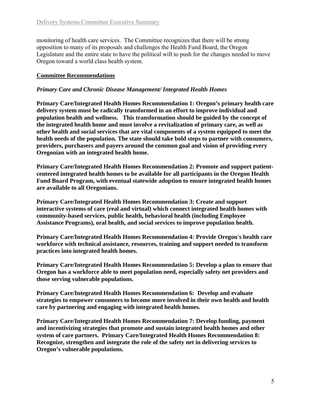monitoring of health care services. The Committee recognizes that there will be strong opposition to many of its proposals and challenges the Health Fund Board, the Oregon Legislature and the entire state to have the political will to push for the changes needed to move Oregon toward a world class health system.

#### **Committee Recommendations**

#### *Primary Care and Chronic Disease Management/ Integrated Health Homes*

**Primary Care/Integrated Health Homes Recommendation 1: Oregon's primary health care delivery system must be radically transformed in an effort to improve individual and population health and wellness. This transformation should be guided by the concept of the integrated health home and must involve a revitalization of primary care, as well as other health and social services that are vital components of a system equipped to meet the health needs of the population. The state should take bold steps to partner with consumers, providers, purchasers and payers around the common goal and vision of providing every Oregonian with an integrated health home.** 

**Primary Care/Integrated Health Homes Recommendation 2: Promote and support patientcentered integrated health homes to be available for all participants in the Oregon Health Fund Board Program, with eventual statewide adoption to ensure integrated health homes are available to all Oregonians.** 

**Primary Care/Integrated Health Homes Recommendation 3: Create and support interactive systems of care (real and virtual) which connect integrated health homes with community-based services, public health, behavioral health (including Employee Assistance Programs), oral health, and social services to improve population health.** 

**Primary Care/Integrated Health Homes Recommendation 4: Provide Oregon's health care workforce with technical assistance, resources, training and support needed to transform practices into integrated health homes.** 

**Primary Care/Integrated Health Homes Recommendation 5: Develop a plan to ensure that Oregon has a workforce able to meet population need, especially safety net providers and those serving vulnerable populations.** 

**Primary Care/Integrated Health Homes Recommendation 6: Develop and evaluate strategies to empower consumers to become more involved in their own health and health care by partnering and engaging with integrated health homes.** 

**Primary Care/Integrated Health Homes Recommendation 7: Develop funding, payment and incentivizing strategies that promote and sustain integrated health homes and other system of care partners. Primary Care/Integrated Health Homes Recommendation 8: Recognize, strengthen and integrate the role of the safety net in delivering services to Oregon's vulnerable populations.**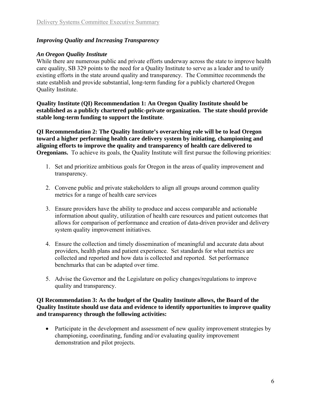#### *Improving Quality and Increasing Transparency*

#### *An Oregon Quality Institute*

While there are numerous public and private efforts underway across the state to improve health care quality, SB 329 points to the need for a Quality Institute to serve as a leader and to unify existing efforts in the state around quality and transparency. The Committee recommends the state establish and provide substantial, long-term funding for a publicly chartered Oregon Quality Institute.

**Quality Institute (QI) Recommendation 1: An Oregon Quality Institute should be established as a publicly chartered public-private organization. The state should provide stable long-term funding to support the Institute**.

**QI Recommendation 2: The Quality Institute's overarching role will be to lead Oregon toward a higher performing health care delivery system by initiating, championing and aligning efforts to improve the quality and transparency of health care delivered to Oregonians.** To achieve its goals, the Quality Institute will first pursue the following priorities:

- 1. Set and prioritize ambitious goals for Oregon in the areas of quality improvement and transparency.
- 2. Convene public and private stakeholders to align all groups around common quality metrics for a range of health care services
- 3. Ensure providers have the ability to produce and access comparable and actionable information about quality, utilization of health care resources and patient outcomes that allows for comparison of performance and creation of data-driven provider and delivery system quality improvement initiatives.
- 4. Ensure the collection and timely dissemination of meaningful and accurate data about providers, health plans and patient experience. Set standards for what metrics are collected and reported and how data is collected and reported. Set performance benchmarks that can be adapted over time.
- 5. Advise the Governor and the Legislature on policy changes/regulations to improve quality and transparency.

#### **QI Recommendation 3: As the budget of the Quality Institute allows, the Board of the Quality Institute should use data and evidence to identify opportunities to improve quality and transparency through the following activities:**

• Participate in the development and assessment of new quality improvement strategies by championing, coordinating, funding and/or evaluating quality improvement demonstration and pilot projects.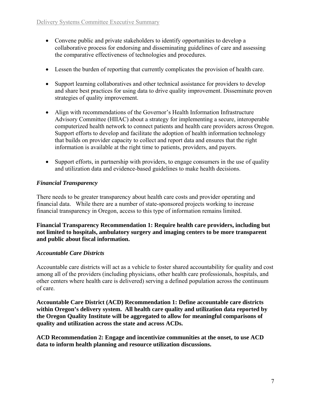- Convene public and private stakeholders to identify opportunities to develop a collaborative process for endorsing and disseminating guidelines of care and assessing the comparative effectiveness of technologies and procedures.
- Lessen the burden of reporting that currently complicates the provision of health care.
- Support learning collaboratives and other technical assistance for providers to develop and share best practices for using data to drive quality improvement. Disseminate proven strategies of quality improvement.
- Align with recommendations of the Governor's Health Information Infrastructure Advisory Committee (HIIAC) about a strategy for implementing a secure, interoperable computerized health network to connect patients and health care providers across Oregon. Support efforts to develop and facilitate the adoption of health information technology that builds on provider capacity to collect and report data and ensures that the right information is available at the right time to patients, providers, and payers.
- Support efforts, in partnership with providers, to engage consumers in the use of quality and utilization data and evidence-based guidelines to make health decisions.

## *Financial Transparency*

There needs to be greater transparency about health care costs and provider operating and financial data. While there are a number of state-sponsored projects working to increase financial transparency in Oregon, access to this type of information remains limited.

**Financial Transparency Recommendation 1: Require health care providers, including but not limited to hospitals, ambulatory surgery and imaging centers to be more transparent and public about fiscal information.** 

## *Accountable Care Districts*

Accountable care districts will act as a vehicle to foster shared accountability for quality and cost among all of the providers (including physicians, other health care professionals, hospitals, and other centers where health care is delivered) serving a defined population across the continuum of care.

**Accountable Care District (ACD) Recommendation 1: Define accountable care districts within Oregon's delivery system. All health care quality and utilization data reported by the Oregon Quality Institute will be aggregated to allow for meaningful comparisons of quality and utilization across the state and across ACDs.**

**ACD Recommendation 2: Engage and incentivize communities at the onset, to use ACD data to inform health planning and resource utilization discussions.**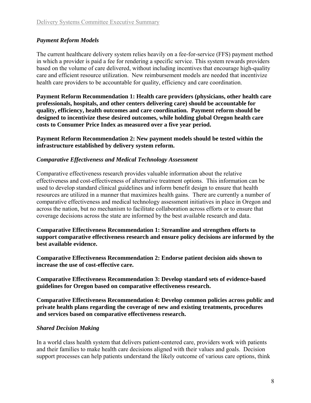## *Payment Reform Models*

The current healthcare delivery system relies heavily on a fee-for-service (FFS) payment method in which a provider is paid a fee for rendering a specific service. This system rewards providers based on the volume of care delivered, without including incentives that encourage high-quality care and efficient resource utilization. New reimbursement models are needed that incentivize health care providers to be accountable for quality, efficiency and care coordination.

**Payment Reform Recommendation 1: Health care providers (physicians, other health care professionals, hospitals, and other centers delivering care) should be accountable for quality, efficiency, health outcomes and care coordination. Payment reform should be designed to incentivize these desired outcomes, while holding global Oregon health care costs to Consumer Price Index as measured over a five year period.** 

**Payment Reform Recommendation 2: New payment models should be tested within the infrastructure established by delivery system reform.** 

#### *Comparative Effectiveness and Medical Technology Assessment*

Comparative effectiveness research provides valuable information about the relative effectiveness and cost-effectiveness of alternative treatment options. This information can be used to develop standard clinical guidelines and inform benefit design to ensure that health resources are utilized in a manner that maximizes health gains. There are currently a number of comparative effectiveness and medical technology assessment initiatives in place in Oregon and across the nation, but no mechanism to facilitate collaboration across efforts or to ensure that coverage decisions across the state are informed by the best available research and data.

**Comparative Effectiveness Recommendation 1: Streamline and strengthen efforts to support comparative effectiveness research and ensure policy decisions are informed by the best available evidence.** 

**Comparative Effectiveness Recommendation 2: Endorse patient decision aids shown to increase the use of cost-effective care.** 

**Comparative Effectiveness Recommendation 3: Develop standard sets of evidence-based guidelines for Oregon based on comparative effectiveness research.** 

**Comparative Effectiveness Recommendation 4: Develop common policies across public and private health plans regarding the coverage of new and existing treatments, procedures and services based on comparative effectiveness research.** 

## *Shared Decision Making*

In a world class health system that delivers patient-centered care, providers work with patients and their families to make health care decisions aligned with their values and goals. Decision support processes can help patients understand the likely outcome of various care options, think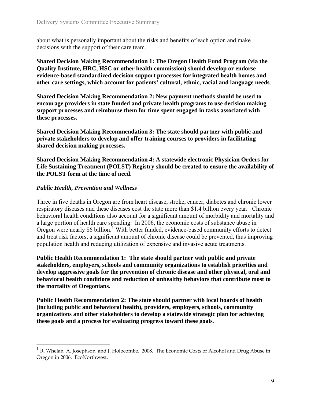about what is personally important about the risks and benefits of each option and make decisions with the support of their care team.

**Shared Decision Making Recommendation 1: The Oregon Health Fund Program (via the Quality Institute, HRC, HSC or other health commission) should develop or endorse evidence-based standardized decision support processes for integrated health homes and other care settings, which account for patients' cultural, ethnic, racial and language needs**.

**Shared Decision Making Recommendation 2: New payment methods should be used to encourage providers in state funded and private health programs to use decision making support processes and reimburse them for time spent engaged in tasks associated with these processes.**

**Shared Decision Making Recommendation 3: The state should partner with public and private stakeholders to develop and offer training courses to providers in facilitating shared decision making processes.**

**Shared Decision Making Recommendation 4: A statewide electronic Physician Orders for Life Sustaining Treatment (POLST) Registry should be created to ensure the availability of the POLST form at the time of need.** 

#### *Public Health, Prevention and Wellness*

 $\overline{a}$ 

Three in five deaths in Oregon are from heart disease, stroke, cancer, diabetes and chronic lower respiratory diseases and these diseases cost the state more than \$1.4 billion every year. Chronic behavioral health conditions also account for a significant amount of morbidity and mortality and a large portion of health care spending. In 2006, the economic costs of substance abuse in Oregon were nearly \$6 billion.<sup>[1](#page-10-0)</sup> With better funded, evidence-based community efforts to detect and treat risk factors, a significant amount of chronic disease could be prevented, thus improving population health and reducing utilization of expensive and invasive acute treatments.

**Public Health Recommendation 1: The state should partner with public and private stakeholders, employers, schools and community organizations to establish priorities and develop aggressive goals for the prevention of chronic disease and other physical, oral and behavioral health conditions and reduction of unhealthy behaviors that contribute most to the mortality of Oregonians.** 

**Public Health Recommendation 2: The state should partner with local boards of health (including public and behavioral health), providers, employers, schools, community organizations and other stakeholders to develop a statewide strategic plan for achieving these goals and a process for evaluating progress toward these goals**.

<span id="page-10-0"></span> $1$  R. Whelan, A. Josephson, and J. Holocombe. 2008. The Economic Costs of Alcohol and Drug Abuse in Oregon in 2006. EcoNorthwest.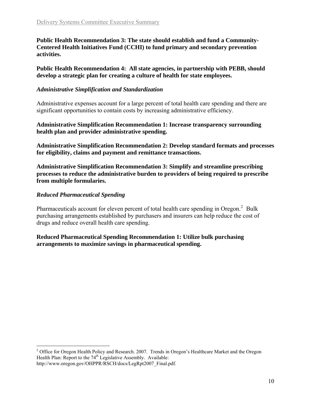**Public Health Recommendation 3: The state should establish and fund a Community-Centered Health Initiatives Fund (CCHI) to fund primary and secondary prevention activities.**

**Public Health Recommendation 4: All state agencies, in partnership with PEBB, should develop a strategic plan for creating a culture of health for state employees.**

#### *Administrative Simplification and Standardization*

Administrative expenses account for a large percent of total health care spending and there are significant opportunities to contain costs by increasing administrative efficiency.

**Administrative Simplification Recommendation 1: Increase transparency surrounding health plan and provider administrative spending.** 

**Administrative Simplification Recommendation 2: Develop standard formats and processes for eligibility, claims and payment and remittance transactions.** 

**Administrative Simplification Recommendation 3: Simplify and streamline prescribing processes to reduce the administrative burden to providers of being required to prescribe from multiple formularies.**

#### *Reduced Pharmaceutical Spending*

 $\overline{a}$ 

Pharmaceuticals account for eleven percent of total health care spending in Oregon. $^2$  $^2$  Bulk purchasing arrangements established by purchasers and insurers can help reduce the cost of drugs and reduce overall health care spending.

**Reduced Pharmaceutical Spending Recommendation 1: Utilize bulk purchasing arrangements to maximize savings in pharmaceutical spending.**

<span id="page-11-0"></span><sup>&</sup>lt;sup>2</sup> Office for Oregon Health Policy and Research. 2007. Trends in Oregon's Healthcare Market and the Oregon Health Plan: Report to the 74<sup>th</sup> Legislative Assembly. Available: http://www.oregon.gov/OHPPR/RSCH/docs/LegRpt2007\_Final.pdf.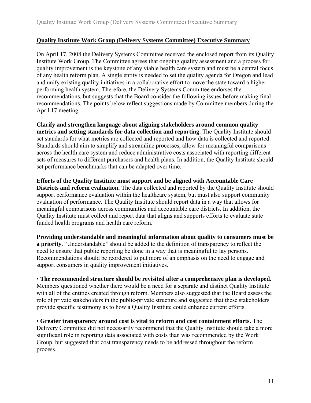## **Quality Institute Work Group (Delivery Systems Committee) Executive Summary**

On April 17, 2008 the Delivery Systems Committee received the enclosed report from its Quality Institute Work Group. The Committee agrees that ongoing quality assessment and a process for quality improvement is the keystone of any viable health care system and must be a central focus of any health reform plan. A single entity is needed to set the quality agenda for Oregon and lead and unify existing quality initiatives in a collaborative effort to move the state toward a higher performing health system. Therefore, the Delivery Systems Committee endorses the recommendations, but suggests that the Board consider the following issues before making final recommendations. The points below reflect suggestions made by Committee members during the April 17 meeting.

**Clarify and strengthen language about aligning stakeholders around common quality metrics and setting standards for data collection and reporting**. The Quality Institute should set standards for what metrics are collected and reported and how data is collected and reported. Standards should aim to simplify and streamline processes, allow for meaningful comparisons across the health care system and reduce administrative costs associated with reporting different sets of measures to different purchasers and health plans. In addition, the Quality Institute should set performance benchmarks that can be adapted over time.

**Efforts of the Quality Institute must support and be aligned with Accountable Care Districts and reform evaluation.** The data collected and reported by the Quality Institute should support performance evaluation within the healthcare system, but must also support community evaluation of performance. The Quality Institute should report data in a way that allows for meaningful comparisons across communities and accountable care districts. In addition, the Quality Institute must collect and report data that aligns and supports efforts to evaluate state funded health programs and health care reform.

**Providing understandable and meaningful information about quality to consumers must be a priority.** "Understandable" should be added to the definition of transparency to reflect the need to ensure that public reporting be done in a way that is meaningful to lay persons. Recommendations should be reordered to put more of an emphasis on the need to engage and support consumers in quality improvement initiatives.

• **The recommended structure should be revisited after a comprehensive plan is developed.**  Members questioned whether there would be a need for a separate and distinct Quality Institute with all of the entities created through reform. Members also suggested that the Board assess the role of private stakeholders in the public-private structure and suggested that these stakeholders provide specific testimony as to how a Quality Institute could enhance current efforts.

• **Greater transparency around cost is vital to reform and cost containment efforts.** The Delivery Committee did not necessarily recommend that the Quality Institute should take a more significant role in reporting data associated with costs than was recommended by the Work Group, but suggested that cost transparency needs to be addressed throughout the reform process.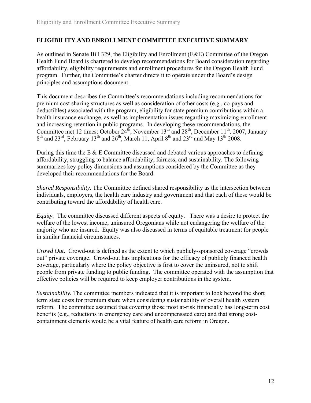## **ELIGIBILITY AND ENROLLMENT COMMITTEE EXECUTIVE SUMMARY**

As outlined in Senate Bill 329, the Eligibility and Enrollment (E&E) Committee of the Oregon Health Fund Board is chartered to develop recommendations for Board consideration regarding affordability, eligibility requirements and enrollment procedures for the Oregon Health Fund program. Further, the Committee's charter directs it to operate under the Board's design principles and assumptions document.

This document describes the Committee's recommendations including recommendations for premium cost sharing structures as well as consideration of other costs (e.g., co-pays and deductibles) associated with the program, eligibility for state premium contributions within a health insurance exchange, as well as implementation issues regarding maximizing enrollment and increasing retention in public programs. In developing these recommendations, the Committee met 12 times: October  $24<sup>th</sup>$ , November  $13<sup>th</sup>$  and  $28<sup>th</sup>$ , December  $11<sup>th</sup>$ , 2007, January  $8<sup>th</sup>$  and  $23<sup>rd</sup>$ , February 13<sup>th</sup> and  $26<sup>th</sup>$ , March 11, April  $8<sup>th</sup>$  and  $23<sup>rd</sup>$  and May 13<sup>th</sup> 2008.

During this time the E  $\&$  E Committee discussed and debated various approaches to defining affordability, struggling to balance affordability, fairness, and sustainability. The following summarizes key policy dimensions and assumptions considered by the Committee as they developed their recommendations for the Board:

*Shared Responsibility.* The Committee defined shared responsibility as the intersection between individuals, employers, the health care industry and government and that each of these would be contributing toward the affordability of health care.

*Equity.* The committee discussed different aspects of equity. There was a desire to protect the welfare of the lowest income, uninsured Oregonians while not endangering the welfare of the majority who are insured. Equity was also discussed in terms of equitable treatment for people in similar financial circumstances.

*Crowd Out.* Crowd-out is defined as the extent to which publicly-sponsored coverage "crowds out" private coverage. Crowd-out has implications for the efficacy of publicly financed health coverage, particularly where the policy objective is first to cover the uninsured, not to shift people from private funding to public funding. The committee operated with the assumption that effective policies will be required to keep employer contributions in the system.

*Sustainability.* The committee members indicated that it is important to look beyond the short term state costs for premium share when considering sustainability of overall health system reform. The committee assumed that covering those most at-risk financially has long-term cost benefits (e.g., reductions in emergency care and uncompensated care) and that strong costcontainment elements would be a vital feature of health care reform in Oregon.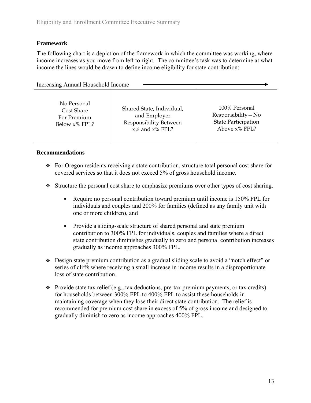## **Framework**

The following chart is a depiction of the framework in which the committee was working, where income increases as you move from left to right. The committee's task was to determine at what income the lines would be drawn to define income eligibility for state contribution:

Increasing Annual Household Income

| Shared State, Individual, | 100% Personal              |
|---------------------------|----------------------------|
| and Employer              | $Responsibility - No$      |
| Responsibility Between    | <b>State Participation</b> |
| $x\%$ and $x\%$ FPL?      | Above $x\%$ FPL?           |
|                           |                            |

## **Recommendations**

- For Oregon residents receiving a state contribution, structure total personal cost share for covered services so that it does not exceed 5% of gross household income.
- Structure the personal cost share to emphasize premiums over other types of cost sharing.
	- Require no personal contribution toward premium until income is 150% FPL for individuals and couples and 200% for families (defined as any family unit with one or more children), and
	- Provide a sliding-scale structure of shared personal and state premium contribution to 300% FPL for individuals, couples and families where a direct state contribution diminishes gradually to zero and personal contribution increases gradually as income approaches 300% FPL.
- Design state premium contribution as a gradual sliding scale to avoid a "notch effect" or series of cliffs where receiving a small increase in income results in a disproportionate loss of state contribution.
- $\cdot \cdot$  Provide state tax relief (e.g., tax deductions, pre-tax premium payments, or tax credits) for households between 300% FPL to 400% FPL to assist these households in maintaining coverage when they lose their direct state contribution. The relief is recommended for premium cost share in excess of 5% of gross income and designed to gradually diminish to zero as income approaches 400% FPL.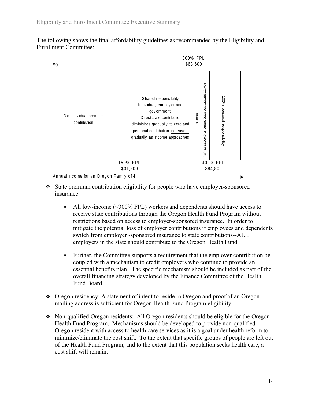The following shows the final affordability guidelines as recommended by the Eligibility and Enrollment Committee:



- State premium contribution eligibility for people who have employer-sponsored insurance:
	- All low-income (<300% FPL) workers and dependents should have access to receive state contributions through the Oregon Health Fund Program without restrictions based on access to employer-sponsored insurance. In order to mitigate the potential loss of employer contributions if employees and dependents switch from employer -sponsored insurance to state contributions--ALL employers in the state should contribute to the Oregon Health Fund.
	- Further, the Committee supports a requirement that the employer contribution be coupled with a mechanism to credit employers who continue to provide an essential benefits plan. The specific mechanism should be included as part of the overall financing strategy developed by the Finance Committee of the Health Fund Board.
- Oregon residency: A statement of intent to reside in Oregon and proof of an Oregon mailing address is sufficient for Oregon Health Fund Program eligibility.
- Non-qualified Oregon residents: All Oregon residents should be eligible for the Oregon Health Fund Program. Mechanisms should be developed to provide non-qualified Oregon resident with access to health care services as it is a goal under health reform to minimize/eliminate the cost shift. To the extent that specific groups of people are left out of the Health Fund Program, and to the extent that this population seeks health care, a cost shift will remain.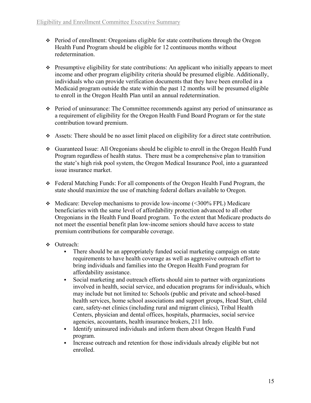- Period of enrollment: Oregonians eligible for state contributions through the Oregon Health Fund Program should be eligible for 12 continuous months without redetermination.
- Presumptive eligibility for state contributions: An applicant who initially appears to meet income and other program eligibility criteria should be presumed eligible. Additionally, individuals who can provide verification documents that they have been enrolled in a Medicaid program outside the state within the past 12 months will be presumed eligible to enroll in the Oregon Health Plan until an annual redetermination.
- Period of uninsurance: The Committee recommends against any period of uninsurance as a requirement of eligibility for the Oregon Health Fund Board Program or for the state contribution toward premium.
- Assets: There should be no asset limit placed on eligibility for a direct state contribution.
- Guaranteed Issue: All Oregonians should be eligible to enroll in the Oregon Health Fund Program regardless of health status. There must be a comprehensive plan to transition the state's high risk pool system, the Oregon Medical Insurance Pool, into a guaranteed issue insurance market.
- Federal Matching Funds: For all components of the Oregon Health Fund Program, the state should maximize the use of matching federal dollars available to Oregon.
- Medicare: Develop mechanisms to provide low-income (<300% FPL) Medicare beneficiaries with the same level of affordability protection advanced to all other Oregonians in the Health Fund Board program. To the extent that Medicare products do not meet the essential benefit plan low-income seniors should have access to state premium contributions for comparable coverage.
- Outreach:
	- There should be an appropriately funded social marketing campaign on state requirements to have health coverage as well as aggressive outreach effort to bring individuals and families into the Oregon Health Fund program for affordability assistance.
	- Social marketing and outreach efforts should aim to partner with organizations involved in health, social service, and education programs for individuals, which may include but not limited to: Schools (public and private and school-based health services, home school associations and support groups, Head Start, child care, safety-net clinics (including rural and migrant clinics), Tribal Health Centers, physician and dental offices, hospitals, pharmacies, social service agencies, accountants, health insurance brokers, 211 Info.
	- Identify uninsured individuals and inform them about Oregon Health Fund program.
	- Increase outreach and retention for those individuals already eligible but not enrolled.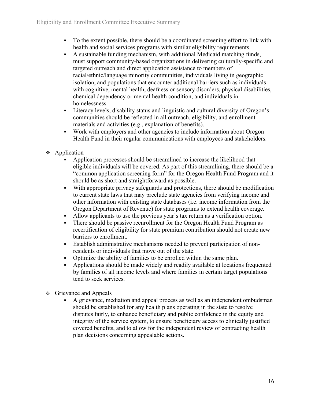- To the extent possible, there should be a coordinated screening effort to link with health and social services programs with similar eligibility requirements.
- A sustainable funding mechanism, with additional Medicaid matching funds, must support community-based organizations in delivering culturally-specific and targeted outreach and direct application assistance to members of racial/ethnic/language minority communities, individuals living in geographic isolation, and populations that encounter additional barriers such as individuals with cognitive, mental health, deafness or sensory disorders, physical disabilities, chemical dependency or mental health condition, and individuals in homelessness.
- Literacy levels, disability status and linguistic and cultural diversity of Oregon's communities should be reflected in all outreach, eligibility, and enrollment materials and activities (e.g., explanation of benefits).
- Work with employers and other agencies to include information about Oregon Health Fund in their regular communications with employees and stakeholders.
- **Application** 
	- Application processes should be streamlined to increase the likelihood that eligible individuals will be covered. As part of this streamlining, there should be a "common application screening form" for the Oregon Health Fund Program and it should be as short and straightforward as possible.
	- With appropriate privacy safeguards and protections, there should be modification to current state laws that may preclude state agencies from verifying income and other information with existing state databases (i.e. income information from the Oregon Department of Revenue) for state programs to extend health coverage.
	- Allow applicants to use the previous year's tax return as a verification option.
	- There should be passive reenrollment for the Oregon Health Fund Program as recertification of eligibility for state premium contribution should not create new barriers to enrollment.
	- Establish administrative mechanisms needed to prevent participation of nonresidents or individuals that move out of the state.
	- Optimize the ability of families to be enrolled within the same plan.
	- Applications should be made widely and readily available at locations frequented by families of all income levels and where families in certain target populations tend to seek services.
- $\div$  Grievance and Appeals
	- A grievance, mediation and appeal process as well as an independent ombudsman should be established for any health plans operating in the state to resolve disputes fairly, to enhance beneficiary and public confidence in the equity and integrity of the service system, to ensure beneficiary access to clinically justified covered benefits, and to allow for the independent review of contracting health plan decisions concerning appealable actions.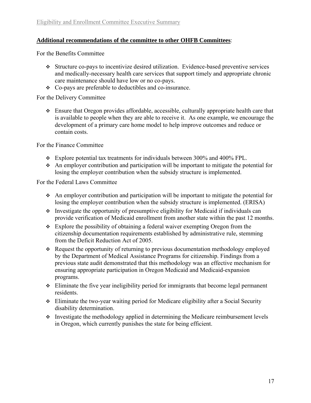## **Additional recommendations of the committee to other OHFB Committees**:

For the Benefits Committee

- Structure co-pays to incentivize desired utilization. Evidence-based preventive services and medically-necessary health care services that support timely and appropriate chronic care maintenance should have low or no co-pays.
- Co-pays are preferable to deductibles and co-insurance.

For the Delivery Committee

 Ensure that Oregon provides affordable, accessible, culturally appropriate health care that is available to people when they are able to receive it. As one example, we encourage the development of a primary care home model to help improve outcomes and reduce or contain costs.

For the Finance Committee

- $\div$  Explore potential tax treatments for individuals between 300% and 400% FPL.
- An employer contribution and participation will be important to mitigate the potential for losing the employer contribution when the subsidy structure is implemented.

For the Federal Laws Committee

- An employer contribution and participation will be important to mitigate the potential for losing the employer contribution when the subsidy structure is implemented. (ERISA)
- $\cdot$  Investigate the opportunity of presumptive eligibility for Medicaid if individuals can provide verification of Medicaid enrollment from another state within the past 12 months.
- Explore the possibility of obtaining a federal waiver exempting Oregon from the citizenship documentation requirements established by administrative rule, stemming from the Deficit Reduction Act of 2005.
- Request the opportunity of returning to previous documentation methodology employed by the Department of Medical Assistance Programs for citizenship. Findings from a previous state audit demonstrated that this methodology was an effective mechanism for ensuring appropriate participation in Oregon Medicaid and Medicaid-expansion programs.
- $\div$  Eliminate the five year ineligibility period for immigrants that become legal permanent residents.
- Eliminate the two-year waiting period for Medicare eligibility after a Social Security disability determination.
- $\cdot$  Investigate the methodology applied in determining the Medicare reimbursement levels in Oregon, which currently punishes the state for being efficient.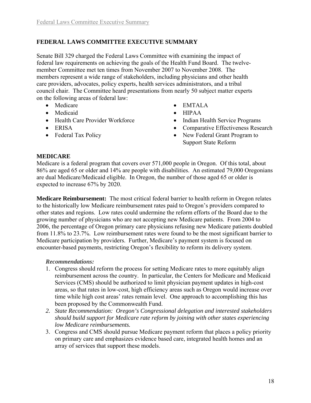## **FEDERAL LAWS COMMITTEE EXECUTIVE SUMMARY**

Senate Bill 329 charged the Federal Laws Committee with examining the impact of federal law requirements on achieving the goals of the Health Fund Board. The twelvemember Committee met ten times from November 2007 to November 2008. The members represent a wide range of stakeholders, including physicians and other health care providers, advocates, policy experts, health services administrators, and a tribal council chair. The Committee heard presentations from nearly 50 subject matter experts on the following areas of federal law:

- 
- Medicaid HIPAA
- Health Care Provider Workforce Indian Health Service Programs
- 
- 
- Medicare EMTALA
	-
	-
- ERISA Comparative Effectiveness Research
- Federal Tax Policy New Federal Grant Program to Support State Reform

#### **MEDICARE**

Medicare is a federal program that covers over 571,000 people in Oregon. Of this total, about 86% are aged 65 or older and 14% are people with disabilities. An estimated 79,000 Oregonians are dual Medicare/Medicaid eligible. In Oregon, the number of those aged 65 or older is expected to increase 67% by 2020.

**Medicare Reimbursement:** The most critical federal barrier to health reform in Oregon relates to the historically low Medicare reimbursement rates paid to Oregon's providers compared to other states and regions. Low rates could undermine the reform efforts of the Board due to the growing number of physicians who are not accepting new Medicare patients. From 2004 to 2006, the percentage of Oregon primary care physicians refusing new Medicare patients doubled from 11.8% to 23.7%. Low reimbursement rates were found to be the most significant barrier to Medicare participation by providers. Further, Medicare's payment system is focused on encounter-based payments, restricting Oregon's flexibility to reform its delivery system.

#### *Recommendations:*

- 1. Congress should reform the process for setting Medicare rates to more equitably align reimbursement across the country. In particular, the Centers for Medicare and Medicaid Services (CMS) should be authorized to limit physician payment updates in high-cost areas, so that rates in low-cost, high efficiency areas such as Oregon would increase over time while high cost areas' rates remain level. One approach to accomplishing this has been proposed by the Commonwealth Fund.
- *2. State Recommendation: Oregon's Congressional delegation and interested stakeholders should build support for Medicare rate reform by joining with other states experiencing low Medicare reimbursements.*
- 3. Congress and CMS should pursue Medicare payment reform that places a policy priority on primary care and emphasizes evidence based care, integrated health homes and an array of services that support these models.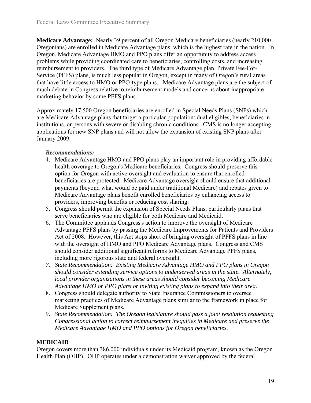**Medicare Advantage:** Nearly 39 percent of all Oregon Medicare beneficiaries (nearly 210,000 Oregonians) are enrolled in Medicare Advantage plans, which is the highest rate in the nation. In Oregon, Medicare Advantage HMO and PPO plans offer an opportunity to address access problems while providing coordinated care to beneficiaries, controlling costs, and increasing reimbursement to providers. The third type of Medicare Advantage plan, Private Fee-For-Service (PFFS) plans, is much less popular in Oregon, except in many of Oregon's rural areas that have little access to HMO or PPO-type plans. Medicare Advantage plans are the subject of much debate in Congress relative to reimbursement models and concerns about inappropriate marketing behavior by some PFFS plans.

Approximately 17,500 Oregon beneficiaries are enrolled in Special Needs Plans (SNPs) which are Medicare Advantage plans that target a particular population: dual eligibles, beneficiaries in institutions, or persons with severe or disabling chronic conditions. CMS is no longer accepting applications for new SNP plans and will not allow the expansion of existing SNP plans after January 2009.

## *Recommendations:*

- 4. Medicare Advantage HMO and PPO plans play an important role in providing affordable health coverage to Oregon's Medicare beneficiaries. Congress should preserve this option for Oregon with active oversight and evaluation to ensure that enrolled beneficiaries are protected. Medicare Advantage oversight should ensure that additional payments (beyond what would be paid under traditional Medicare) and rebates given to Medicare Advantage plans benefit enrolled beneficiaries by enhancing access to providers, improving benefits or reducing cost sharing.
- 5. Congress should permit the expansion of Special Needs Plans, particularly plans that serve beneficiaries who are eligible for both Medicare and Medicaid.
- 6. The Committee applauds Congress's action to improve the oversight of Medicare Advantage PFFS plans by passing the Medicare Improvements for Patients and Providers Act of 2008. However, this Act stops short of bringing oversight of PFFS plans in line with the oversight of HMO and PPO Medicare Advantage plans. Congress and CMS should consider additional significant reforms to Medicare Advantage PFFS plans, including more rigorous state and federal oversight.
- *7. State Recommendation: Existing Medicare Advantage HMO and PPO plans in Oregon should consider extending service options to underserved areas in the state. Alternately, local provider organizations in these areas should consider becoming Medicare Advantage HMO or PPO plans or inviting existing plans to expand into their area.*
- 8. Congress should delegate authority to State Insurance Commissioners to oversee marketing practices of Medicare Advantage plans similar to the framework in place for Medicare Supplement plans.
- 9. *State Recommendation: The Oregon legislature should pass a joint resolution requesting Congressional action to correct reimbursement inequities in Medicare and preserve the Medicare Advantage HMO and PPO options for Oregon beneficiaries*.

## **MEDICAID**

Oregon covers more than 386,000 individuals under its Medicaid program, known as the Oregon Health Plan (OHP). OHP operates under a demonstration waiver approved by the federal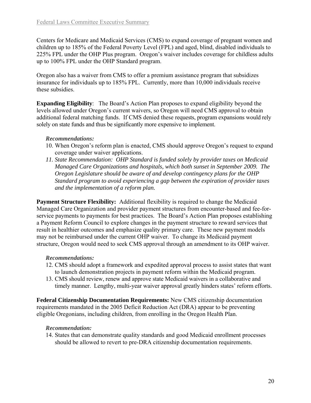Centers for Medicare and Medicaid Services (CMS) to expand coverage of pregnant women and children up to 185% of the Federal Poverty Level (FPL) and aged, blind, disabled individuals to 225% FPL under the OHP Plus program. Oregon's waiver includes coverage for childless adults up to 100% FPL under the OHP Standard program.

Oregon also has a waiver from CMS to offer a premium assistance program that subsidizes insurance for individuals up to 185% FPL. Currently, more than 10,000 individuals receive these subsidies.

**Expanding Eligibility**: The Board's Action Plan proposes to expand eligibility beyond the levels allowed under Oregon's current waivers, so Oregon will need CMS approval to obtain additional federal matching funds. If CMS denied these requests, program expansions would rely solely on state funds and thus be significantly more expensive to implement.

#### *Recommendations:*

- 10. When Oregon's reform plan is enacted, CMS should approve Oregon's request to expand coverage under waiver applications.
- *11. State Recommendation: OHP Standard is funded solely by provider taxes on Medicaid Managed Care Organizations and hospitals, which both sunset in September 2009. The Oregon Legislature should be aware of and develop contingency plans for the OHP Standard program to avoid experiencing a gap between the expiration of provider taxes and the implementation of a reform plan.*

**Payment Structure Flexibility:** Additional flexibility is required to change the Medicaid Managed Care Organization and provider payment structures from encounter-based and fee-forservice payments to payments for best practices. The Board's Action Plan proposes establishing a Payment Reform Council to explore changes in the payment structure to reward services that result in healthier outcomes and emphasize quality primary care. These new payment models may not be reimbursed under the current OHP waiver. To change its Medicaid payment structure, Oregon would need to seek CMS approval through an amendment to its OHP waiver.

## *Recommendations:*

- 12. CMS should adopt a framework and expedited approval process to assist states that want to launch demonstration projects in payment reform within the Medicaid program.
- 13. CMS should review, renew and approve state Medicaid waivers in a collaborative and timely manner. Lengthy, multi-year waiver approval greatly hinders states' reform efforts.

**Federal Citizenship Documentation Requirements:** New CMS citizenship documentation requirements mandated in the 2005 Deficit Reduction Act (DRA) appear to be preventing eligible Oregonians, including children, from enrolling in the Oregon Health Plan.

## *Recommendation:*

14. States that can demonstrate quality standards and good Medicaid enrollment processes should be allowed to revert to pre-DRA citizenship documentation requirements.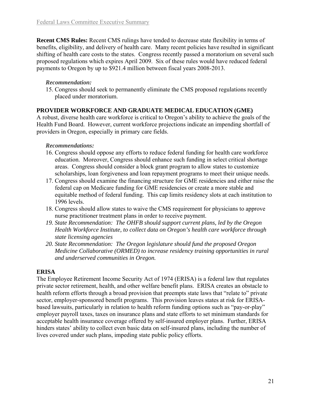**Recent CMS Rules:** Recent CMS rulings have tended to decrease state flexibility in terms of benefits, eligibility, and delivery of health care. Many recent policies have resulted in significant shifting of health care costs to the states. Congress recently passed a moratorium on several such proposed regulations which expires April 2009.Six of these rules would have reduced federal payments to Oregon by up to \$921.4 million between fiscal years 2008-2013.

## *Recommendation:*

15. Congress should seek to permanently eliminate the CMS proposed regulations recently placed under moratorium.

## **PROVIDER WORKFORCE AND GRADUATE MEDICAL EDUCATION (GME)**

A robust, diverse health care workforce is critical to Oregon's ability to achieve the goals of the Health Fund Board. However, current workforce projections indicate an impending shortfall of providers in Oregon, especially in primary care fields.

## *Recommendations:*

- 16. Congress should oppose any efforts to reduce federal funding for health care workforce education. Moreover, Congress should enhance such funding in select critical shortage areas. Congress should consider a block grant program to allow states to customize scholarships, loan forgiveness and loan repayment programs to meet their unique needs.
- 17. Congress should examine the financing structure for GME residencies and either raise the federal cap on Medicare funding for GME residencies or create a more stable and equitable method of federal funding. This cap limits residency slots at each institution to 1996 levels.
- 18. Congress should allow states to waive the CMS requirement for physicians to approve nurse practitioner treatment plans in order to receive payment.
- *19. State Recommendation: The OHFB should support current plans, led by the Oregon Health Workforce Institute, to collect data on Oregon's health care workforce through state licensing agencies*
- *20. State Recommendation: The Oregon legislature should fund the proposed Oregon Medicine Collaborative (ORMED) to increase residency training opportunities in rural and underserved communities in Oregon.*

## **ERISA**

The Employee Retirement Income Security Act of 1974 (ERISA) is a federal law that regulates private sector retirement, health, and other welfare benefit plans. ERISA creates an obstacle to health reform efforts through a broad provision that preempts state laws that "relate to" private sector, employer-sponsored benefit programs. This provision leaves states at risk for ERISAbased lawsuits, particularly in relation to health reform funding options such as "pay-or-play" employer payroll taxes, taxes on insurance plans and state efforts to set minimum standards for acceptable health insurance coverage offered by self-insured employer plans. Further, ERISA hinders states' ability to collect even basic data on self-insured plans, including the number of lives covered under such plans, impeding state public policy efforts.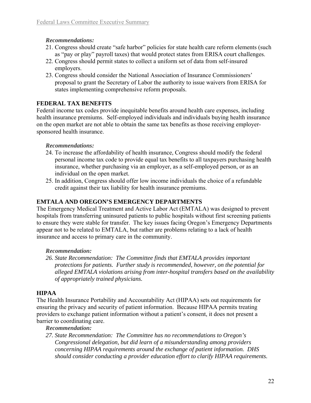## *Recommendations:*

- 21. Congress should create "safe harbor" policies for state health care reform elements (such as "pay or play" payroll taxes) that would protect states from ERISA court challenges.
- 22. Congress should permit states to collect a uniform set of data from self-insured employers.
- 23. Congress should consider the National Association of Insurance Commissioners' proposal to grant the Secretary of Labor the authority to issue waivers from ERISA for states implementing comprehensive reform proposals.

## **FEDERAL TAX BENEFITS**

Federal income tax codes provide inequitable benefits around health care expenses, including health insurance premiums. Self-employed individuals and individuals buying health insurance on the open market are not able to obtain the same tax benefits as those receiving employersponsored health insurance.

## *Recommendations:*

- 24. To increase the affordability of health insurance, Congress should modify the federal personal income tax code to provide equal tax benefits to all taxpayers purchasing health insurance, whether purchasing via an employer, as a self-employed person, or as an individual on the open market.
- 25. In addition, Congress should offer low income individuals the choice of a refundable credit against their tax liability for health insurance premiums.

## **EMTALA AND OREGON'S EMERGENCY DEPARTMENTS**

The Emergency Medical Treatment and Active Labor Act (EMTALA) was designed to prevent hospitals from transferring uninsured patients to public hospitals without first screening patients to ensure they were stable for transfer. The key issues facing Oregon's Emergency Departments appear not to be related to EMTALA, but rather are problems relating to a lack of health insurance and access to primary care in the community.

## *Recommendation:*

*26. State Recommendation: The Committee finds that EMTALA provides important protections for patients. Further study is recommended, however, on the potential for alleged EMTALA violations arising from inter-hospital transfers based on the availability of appropriately trained physicians.* 

## **HIPAA**

The Health Insurance Portability and Accountability Act (HIPAA) sets out requirements for ensuring the privacy and security of patient information. Because HIPAA permits treating providers to exchange patient information without a patient's consent, it does not present a barrier to coordinating care.

*Recommendation:*

*27. State Recommendation: The Committee has no recommendations to Oregon's Congressional delegation, but did learn of a misunderstanding among providers concerning HIPAA requirements around the exchange of patient information. DHS should consider conducting a provider education effort to clarify HIPAA requirements.*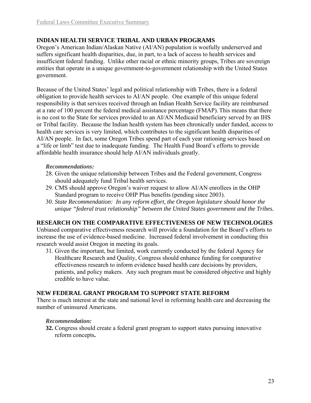#### **INDIAN HEALTH SERVICE TRIBAL AND URBAN PROGRAMS**

Oregon's American Indian/Alaskan Native (AI/AN) population is woefully underserved and suffers significant health disparities, due, in part, to a lack of access to health services and insufficient federal funding. Unlike other racial or ethnic minority groups, Tribes are sovereign entities that operate in a unique government-to-government relationship with the United States government.

Because of the United States' legal and political relationship with Tribes, there is a federal obligation to provide health services to AI/AN people. One example of this unique federal responsibility is that services received through an Indian Health Service facility are reimbursed at a rate of 100 percent the federal medical assistance percentage (FMAP). This means that there is no cost to the State for services provided to an AI/AN Medicaid beneficiary served by an IHS or Tribal facility. Because the Indian health system has been chronically under funded, access to health care services is very limited, which contributes to the significant health disparities of AI/AN people. In fact, some Oregon Tribes spend part of each year rationing services based on a "life or limb" test due to inadequate funding. The Health Fund Board's efforts to provide affordable health insurance should help AI/AN individuals greatly.

#### *Recommendations:*

- 28. Given the unique relationship between Tribes and the Federal government, Congress should adequately fund Tribal health services.
- 29. CMS should approve Oregon's waiver request to allow AI/AN enrollees in the OHP Standard program to receive OHP Plus benefits (pending since 2003).
- 30. *State Recommendation: In any reform effort, the Oregon legislature should honor the unique "federal trust relationship" between the United States government and the Tribes.*

#### **RESEARCH ON THE COMPARATIVE EFFECTIVENESS OF NEW TECHNOLOGIES**

Unbiased comparative effectiveness research will provide a foundation for the Board's efforts to increase the use of evidence-based medicine. Increased federal involvement in conducting this research would assist Oregon in meeting its goals.

31. Given the important, but limited, work currently conducted by the federal Agency for Healthcare Research and Quality, Congress should enhance funding for comparative effectiveness research to inform evidence based health care decisions by providers, patients, and policy makers. Any such program must be considered objective and highly credible to have value.

#### **NEW FEDERAL GRANT PROGRAM TO SUPPORT STATE REFORM**

There is much interest at the state and national level in reforming health care and decreasing the number of uninsured Americans.

#### *Recommendation:*

**32.** Congress should create a federal grant program to support states pursuing innovative reform concepts**.**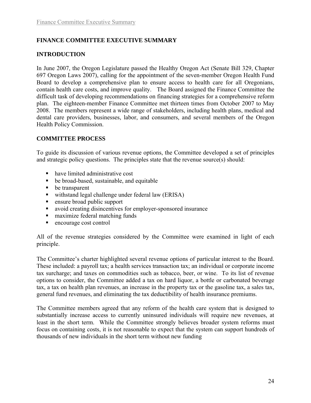## **FINANCE COMMITTEE EXECUTIVE SUMMARY**

## **INTRODUCTION**

In June 2007, the Oregon Legislature passed the Healthy Oregon Act (Senate Bill 329, Chapter 697 Oregon Laws 2007), calling for the appointment of the seven-member Oregon Health Fund Board to develop a comprehensive plan to ensure access to health care for all Oregonians, contain health care costs, and improve quality. The Board assigned the Finance Committee the difficult task of developing recommendations on financing strategies for a comprehensive reform plan. The eighteen-member Finance Committee met thirteen times from October 2007 to May 2008. The members represent a wide range of stakeholders, including health plans, medical and dental care providers, businesses, labor, and consumers, and several members of the Oregon Health Policy Commission.

## **COMMITTEE PROCESS**

To guide its discussion of various revenue options, the Committee developed a set of principles and strategic policy questions. The principles state that the revenue source(s) should:

- have limited administrative cost
- be broad-based, sustainable, and equitable
- be transparent
- withstand legal challenge under federal law (ERISA)
- **Example 1** ensure broad public support
- avoid creating disincentives for employer-sponsored insurance
- maximize federal matching funds
- encourage cost control

All of the revenue strategies considered by the Committee were examined in light of each principle.

The Committee's charter highlighted several revenue options of particular interest to the Board. These included: a payroll tax; a health services transaction tax; an individual or corporate income tax surcharge; and taxes on commodities such as tobacco, beer, or wine. To its list of revenue options to consider, the Committee added a tax on hard liquor, a bottle or carbonated beverage tax, a tax on health plan revenues, an increase in the property tax or the gasoline tax, a sales tax, general fund revenues, and eliminating the tax deductibility of health insurance premiums.

The Committee members agreed that any reform of the health care system that is designed to substantially increase access to currently uninsured individuals will require new revenues, at least in the short term. While the Committee strongly believes broader system reforms must focus on containing costs, it is not reasonable to expect that the system can support hundreds of thousands of new individuals in the short term without new funding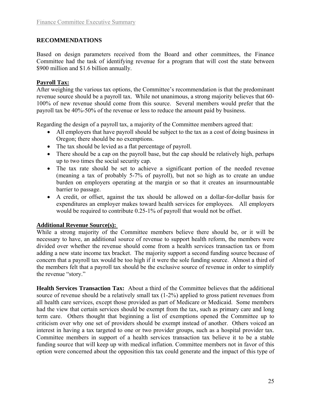## **RECOMMENDATIONS**

Based on design parameters received from the Board and other committees, the Finance Committee had the task of identifying revenue for a program that will cost the state between \$900 million and \$1.6 billion annually.

#### **Payroll Tax:**

After weighing the various tax options, the Committee's recommendation is that the predominant revenue source should be a payroll tax. While not unanimous, a strong majority believes that 60- 100% of new revenue should come from this source. Several members would prefer that the payroll tax be 40%-50% of the revenue or less to reduce the amount paid by business.

Regarding the design of a payroll tax, a majority of the Committee members agreed that:

- All employers that have payroll should be subject to the tax as a cost of doing business in Oregon; there should be no exemptions.
- The tax should be levied as a flat percentage of payroll.
- There should be a cap on the payroll base, but the cap should be relatively high, perhaps up to two times the social security cap.
- The tax rate should be set to achieve a significant portion of the needed revenue (meaning a tax of probably 5-7% of payroll), but not so high as to create an undue burden on employers operating at the margin or so that it creates an insurmountable barrier to passage.
- A credit, or offset, against the tax should be allowed on a dollar-for-dollar basis for expenditures an employer makes toward health services for employees. All employers would be required to contribute 0.25-1% of payroll that would not be offset.

## **Additional Revenue Source(s):**

While a strong majority of the Committee members believe there should be, or it will be necessary to have, an additional source of revenue to support health reform, the members were divided over whether the revenue should come from a health services transaction tax or from adding a new state income tax bracket. The majority support a second funding source because of concern that a payroll tax would be too high if it were the sole funding source. Almost a third of the members felt that a payroll tax should be the exclusive source of revenue in order to simplify the revenue "story."

**Health Services Transaction Tax:** About a third of the Committee believes that the additional source of revenue should be a relatively small tax (1-2%) applied to gross patient revenues from all health care services, except those provided as part of Medicare or Medicaid. Some members had the view that certain services should be exempt from the tax, such as primary care and long term care. Others thought that beginning a list of exemptions opened the Committee up to criticism over why one set of providers should be exempt instead of another. Others voiced an interest in having a tax targeted to one or two provider groups, such as a hospital provider tax. Committee members in support of a health services transaction tax believe it to be a stable funding source that will keep up with medical inflation. Committee members not in favor of this option were concerned about the opposition this tax could generate and the impact of this type of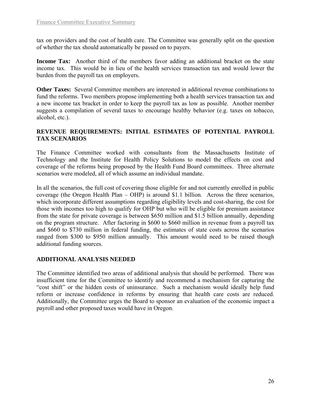tax on providers and the cost of health care. The Committee was generally split on the question of whether the tax should automatically be passed on to payers.

**Income Tax:** Another third of the members favor adding an additional bracket on the state income tax. This would be in lieu of the health services transaction tax and would lower the burden from the payroll tax on employers.

**Other Taxes:** Several Committee members are interested in additional revenue combinations to fund the reforms. Two members propose implementing both a health services transaction tax and a new income tax bracket in order to keep the payroll tax as low as possible. Another member suggests a compilation of several taxes to encourage healthy behavior (e.g. taxes on tobacco, alcohol, etc.).

#### **REVENUE REQUIREMENTS: INITIAL ESTIMATES OF POTENTIAL PAYROLL TAX SCENARIOS**

The Finance Committee worked with consultants from the Massachusetts Institute of Technology and the Institute for Health Policy Solutions to model the effects on cost and coverage of the reforms being proposed by the Health Fund Board committees. Three alternate scenarios were modeled, all of which assume an individual mandate.

In all the scenarios, the full cost of covering those eligible for and not currently enrolled in public coverage (the Oregon Health Plan – OHP) is around \$1.1 billion. Across the three scenarios, which incorporate different assumptions regarding eligibility levels and cost-sharing, the cost for those with incomes too high to qualify for OHP but who will be eligible for premium assistance from the state for private coverage is between \$650 million and \$1.5 billion annually, depending on the program structure. After factoring in \$600 to \$660 million in revenue from a payroll tax and \$660 to \$730 million in federal funding, the estimates of state costs across the scenarios ranged from \$300 to \$950 million annually. This amount would need to be raised though additional funding sources.

## **ADDITIONAL ANALYSIS NEEDED**

The Committee identified two areas of additional analysis that should be performed. There was insufficient time for the Committee to identify and recommend a mechanism for capturing the "cost shift" or the hidden costs of uninsurance. Such a mechanism would ideally help fund reform or increase confidence in reforms by ensuring that health care costs are reduced. Additionally, the Committee urges the Board to sponsor an evaluation of the economic impact a payroll and other proposed taxes would have in Oregon.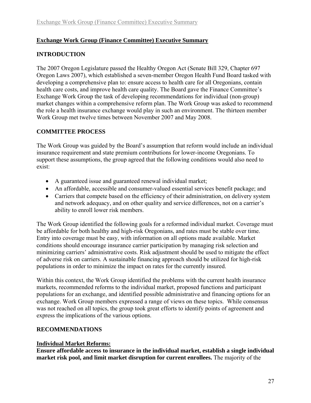## **Exchange Work Group (Finance Committee) Executive Summary**

## **INTRODUCTION**

The 2007 Oregon Legislature passed the Healthy Oregon Act (Senate Bill 329, Chapter 697 Oregon Laws 2007), which established a seven-member Oregon Health Fund Board tasked with developing a comprehensive plan to: ensure access to health care for all Oregonians, contain health care costs, and improve health care quality. The Board gave the Finance Committee's Exchange Work Group the task of developing recommendations for individual (non-group) market changes within a comprehensive reform plan. The Work Group was asked to recommend the role a health insurance exchange would play in such an environment. The thirteen member Work Group met twelve times between November 2007 and May 2008.

## **COMMITTEE PROCESS**

The Work Group was guided by the Board's assumption that reform would include an individual insurance requirement and state premium contributions for lower-income Oregonians. To support these assumptions, the group agreed that the following conditions would also need to exist:

- A guaranteed issue and guaranteed renewal individual market;
- An affordable, accessible and consumer-valued essential services benefit package; and
- Carriers that compete based on the efficiency of their administration, on delivery system and network adequacy, and on other quality and service differences, not on a carrier's ability to enroll lower risk members.

The Work Group identified the following goals for a reformed individual market. Coverage must be affordable for both healthy and high-risk Oregonians, and rates must be stable over time. Entry into coverage must be easy, with information on all options made available. Market conditions should encourage insurance carrier participation by managing risk selection and minimizing carriers' administrative costs. Risk adjustment should be used to mitigate the effect of adverse risk on carriers. A sustainable financing approach should be utilized for high-risk populations in order to minimize the impact on rates for the currently insured.

Within this context, the Work Group identified the problems with the current health insurance markets, recommended reforms to the individual market, proposed functions and participant populations for an exchange, and identified possible administrative and financing options for an exchange. Work Group members expressed a range of views on these topics. While consensus was not reached on all topics, the group took great efforts to identify points of agreement and express the implications of the various options.

## **RECOMMENDATIONS**

## **Individual Market Reforms:**

**Ensure affordable access to insurance in the individual market, establish a single individual market risk pool, and limit market disruption for current enrollees.** The majority of the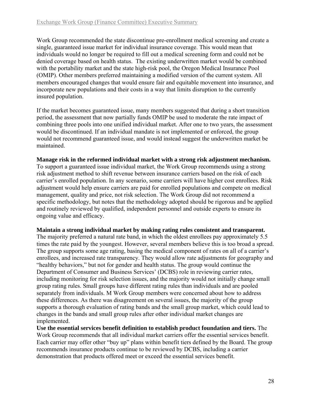Work Group recommended the state discontinue pre-enrollment medical screening and create a single, guaranteed issue market for individual insurance coverage. This would mean that individuals would no longer be required to fill out a medical screening form and could not be denied coverage based on health status. The existing underwritten market would be combined with the portability market and the state high-risk pool, the Oregon Medical Insurance Pool (OMIP). Other members preferred maintaining a modified version of the current system. All members encouraged changes that would ensure fair and equitable movement into insurance, and incorporate new populations and their costs in a way that limits disruption to the currently insured population.

If the market becomes guaranteed issue, many members suggested that during a short transition period, the assessment that now partially funds OMIP be used to moderate the rate impact of combining three pools into one unified individual market. After one to two years, the assessment would be discontinued. If an individual mandate is not implemented or enforced, the group would not recommend guaranteed issue, and would instead suggest the underwritten market be maintained.

#### **Manage risk in the reformed individual market with a strong risk adjustment mechanism.**

To support a guaranteed issue individual market, the Work Group recommends using a strong risk adjustment method to shift revenue between insurance carriers based on the risk of each carrier's enrolled population. In any scenario, some carriers will have higher cost enrollees. Risk adjustment would help ensure carriers are paid for enrolled populations and compete on medical management, quality and price, not risk selection. The Work Group did not recommend a specific methodology, but notes that the methodology adopted should be rigorous and be applied and routinely reviewed by qualified, independent personnel and outside experts to ensure its ongoing value and efficacy.

#### **Maintain a strong individual market by making rating rules consistent and transparent.**

The majority preferred a natural rate band, in which the oldest enrollees pay approximately 5.5 times the rate paid by the youngest. However, several members believe this is too broad a spread. The group supports some age rating, basing the medical component of rates on all of a carrier's enrollees, and increased rate transparency. They would allow rate adjustments for geography and "healthy behaviors," but not for gender and health status. The group would continue the Department of Consumer and Business Services' (DCBS) role in reviewing carrier rates, including monitoring for risk selection issues, and the majority would not initially change small group rating rules. Small groups have different rating rules than individuals and are pooled separately from individuals. M Work Group members were concerned about how to address these differences. As there was disagreement on several issues, the majority of the group supports a thorough evaluation of rating bands and the small group market, which could lead to changes in the bands and small group rules after other individual market changes are implemented.

**Use the essential services benefit definition to establish product foundation and tiers.** The Work Group recommends that all individual market carriers offer the essential services benefit. Each carrier may offer other "buy up" plans within benefit tiers defined by the Board. The group recommends insurance products continue to be reviewed by DCBS, including a carrier demonstration that products offered meet or exceed the essential services benefit.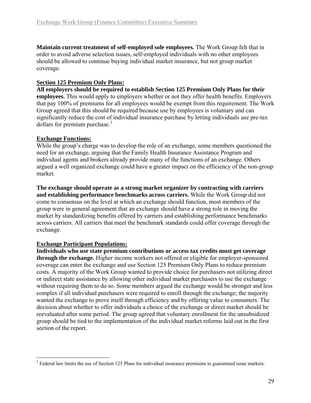<span id="page-30-0"></span>**Maintain current treatment of self-employed sole employees.** The Work Group felt that in order to avoid adverse selection issues, self-employed individuals with no other employees should be allowed to continue buying individual market insurance, but not group market coverage.

#### **Section 125 Premium Only Plans:**

**All employers should be required to establish Section 125 Premium Only Plans for their employees.** This would apply to employers whether or not they offer health benefits. Employers that pay 100% of premiums for all employees would be exempt from this requirement. The Work Group agreed that this should be required because use by employees is voluntary and can significantly reduce the cost of individual insurance purchase by letting individuals use pre-tax dollars for premium purchase.<sup>[3](#page-30-0)</sup>

## **Exchange Functions:**

While the group's charge was to develop the role of an exchange, some members questioned the need for an exchange, arguing that the Family Health Insurance Assistance Program and individual agents and brokers already provide many of the functions of an exchange. Others argued a well organized exchange could have a greater impact on the efficiency of the non-group market.

**The exchange should operate as a strong market organizer by contracting with carriers and establishing performance benchmarks across carriers.** While the Work Group did not come to consensus on the level at which an exchange should function, most members of the group were in general agreement that an exchange should have a strong role in moving the market by standardizing benefits offered by carriers and establishing performance benchmarks across carriers. All carriers that meet the benchmark standards could offer coverage through the exchange.

## **Exchange Participant Populations:**

 $\overline{a}$ 

**Individuals who use state premium contributions or access tax credits must get coverage through the exchange.** Higher income workers not offered or eligible for employer-sponsored coverage can enter the exchange and use Section 125 Premium Only Plans to reduce premium costs. A majority of the Work Group wanted to provide choice for purchasers not utilizing direct or indirect state assistance by allowing other individual market purchasers to use the exchange without requiring them to do so. Some members argued the exchange would be stronger and less complex if all individual purchasers were required to enroll through the exchange; the majority wanted the exchange to prove itself through efficiency and by offering value to consumers. The decision about whether to offer individuals a choice of the exchange or direct market should be reevaluated after some period. The group agreed that voluntary enrollment for the unsubsidized group should be tied to the implementation of the individual market reforms laid out in the first section of the report.

 $3$  Federal law limits the use of Section 125 Plans for individual insurance premiums to guaranteed issue markets.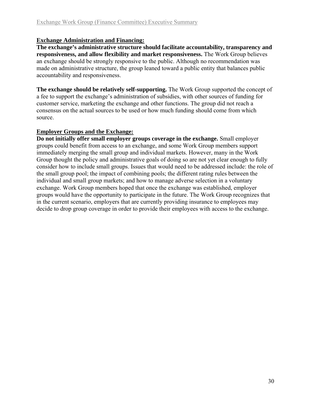#### **Exchange Administration and Financing:**

**The exchange's administrative structure should facilitate accountability, transparency and responsiveness, and allow flexibility and market responsiveness.** The Work Group believes an exchange should be strongly responsive to the public. Although no recommendation was made on administrative structure, the group leaned toward a public entity that balances public accountability and responsiveness.

**The exchange should be relatively self-supporting.** The Work Group supported the concept of a fee to support the exchange's administration of subsidies, with other sources of funding for customer service, marketing the exchange and other functions. The group did not reach a consensus on the actual sources to be used or how much funding should come from which source.

#### **Employer Groups and the Exchange:**

**Do not initially offer small employer groups coverage in the exchange.** Small employer groups could benefit from access to an exchange, and some Work Group members support immediately merging the small group and individual markets. However, many in the Work Group thought the policy and administrative goals of doing so are not yet clear enough to fully consider how to include small groups. Issues that would need to be addressed include: the role of the small group pool; the impact of combining pools; the different rating rules between the individual and small group markets; and how to manage adverse selection in a voluntary exchange. Work Group members hoped that once the exchange was established, employer groups would have the opportunity to participate in the future. The Work Group recognizes that in the current scenario, employers that are currently providing insurance to employees may decide to drop group coverage in order to provide their employees with access to the exchange.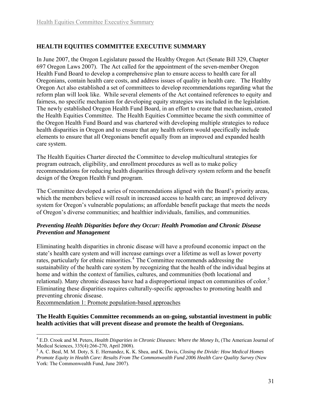## <span id="page-32-0"></span>**HEALTH EQUITIES COMMITTEE EXECUTIVE SUMMARY**

In June 2007, the Oregon Legislature passed the Healthy Oregon Act (Senate Bill 329, Chapter 697 Oregon Laws 2007). The Act called for the appointment of the seven-member Oregon Health Fund Board to develop a comprehensive plan to ensure access to health care for all Oregonians, contain health care costs, and address issues of quality in health care. The Healthy Oregon Act also established a set of committees to develop recommendations regarding what the reform plan will look like. While several elements of the Act contained references to equity and fairness, no specific mechanism for developing equity strategies was included in the legislation. The newly established Oregon Health Fund Board, in an effort to create that mechanism, created the Health Equities Committee. The Health Equities Committee became the sixth committee of the Oregon Health Fund Board and was chartered with developing multiple strategies to reduce health disparities in Oregon and to ensure that any health reform would specifically include elements to ensure that all Oregonians benefit equally from an improved and expanded health care system.

The Health Equities Charter directed the Committee to develop multicultural strategies for program outreach, eligibility, and enrollment procedures as well as to make policy recommendations for reducing health disparities through delivery system reform and the benefit design of the Oregon Health Fund program.

The Committee developed a series of recommendations aligned with the Board's priority areas, which the members believe will result in increased access to health care; an improved delivery system for Oregon's vulnerable populations; an affordable benefit package that meets the needs of Oregon's diverse communities; and healthier individuals, families, and communities.

#### *Preventing Health Disparities before they Occur: Health Promotion and Chronic Disease Prevention and Management*

Eliminating health disparities in chronic disease will have a profound economic impact on the state's health care system and will increase earnings over a lifetime as well as lower poverty rates, particularly for ethnic minorities.<sup>[4](#page-32-0)</sup> The Committee recommends addressing the sustainability of the health care system by recognizing that the health of the individual begins at home and within the context of families, cultures, and communities (both locational and relational). Many chronic diseases have had a disproportional impact on communities of color.<sup>[5](#page-32-0)</sup> Eliminating these disparities requires culturally-specific approaches to promoting health and preventing chronic disease.

Recommendation 1: Promote population-based approaches

 $\overline{a}$ 

#### **The Health Equities Committee recommends an on-going, substantial investment in public health activities that will prevent disease and promote the health of Oregonians.**

<sup>&</sup>lt;sup>4</sup> E.D. Crook and M. Peters, *Health Disparities in Chronic Diseases: Where the Money Is*, (The American Journal of Medical Sciences, 335(4):266-270, April 2008).

<sup>5</sup> A. C. Beal, M. M. Doty, S. E. Hernandez, K. K. Shea, and K. Davis, *Closing the Divide: How Medical Homes Promote Equity in Health Care: Results From The Commonwealth Fund 2006 Health Care Quality Survey* (New York: The Commonwealth Fund, June 2007).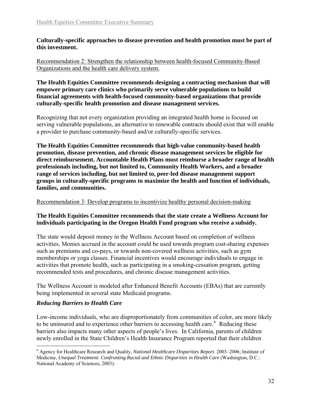<span id="page-33-0"></span>**Culturally-specific approaches to disease prevention and health promotion must be part of this investment.** 

Recommendation 2: Strengthen the relationship between health-focused Community-Based Organizations and the health care delivery system.

**The Health Equities Committee recommends designing a contracting mechanism that will empower primary care clinics who primarily serve vulnerable populations to build financial agreements with health-focused community-based organizations that provide culturally-specific health promotion and disease management services.** 

Recognizing that not every organization providing an integrated health home is focused on serving vulnerable populations, an alternative to renewable contracts should exist that will enable a provider to purchase community-based and/or culturally-specific services.

**The Health Equities Committee recommends that high-value community-based health promotion, disease prevention, and chronic disease management services be eligible for direct reimbursement. Accountable Health Plans must reimburse a broader range of health professionals including, but not limited to, Community Health Workers, and a broader range of services including, but not limited to, peer-led disease management support groups in culturally-specific programs to maximize the health and function of individuals, families, and communities.** 

Recommendation 3: Develop programs to incentivize healthy personal decision-making

#### **The Health Equities Committee recommends that the state create a Wellness Account for individuals participating in the Oregon Health Fund program who receive a subsidy.**

The state would deposit money in the Wellness Account based on completion of wellness activities. Monies accrued in the account could be used towards program cost-sharing expenses such as premiums and co-pays, or towards non-covered wellness activities, such as gym memberships or yoga classes. Financial incentives would encourage individuals to engage in activities that promote health, such as participating in a smoking-cessation program, getting recommended tests and procedures, and chronic disease management activities.

The Wellness Account is modeled after Enhanced Benefit Accounts (EBAs) that are currently being implemented in several state Medicaid programs.

#### *Reducing Barriers to Health Care*

Low-income individuals, who are disproportionately from communities of color, are more likely to be uninsured and to experience other barriers to accessing health care.<sup>[6](#page-33-0)</sup> Reducing these barriers also impacts many other aspects of people's lives. In California, parents of children newly enrolled in the State Children's Health Insurance Program reported that their children

 $\overline{a}$ 6 Agency for Healthcare Research and Quality*, National Healthcare Disparities Report*. 2003–2006; Institute of Medicine, *Unequal Treatment: Confronting Racial and Ethnic Disparities in Health Care* (Washington, D.C.: National Academy of Sciences, 2003).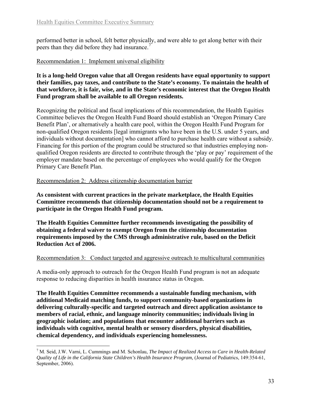<span id="page-34-0"></span>performed better in school, felt better physically, and were able to get along better with their peers than they did before they had insurance.[7](#page-34-0)

#### Recommendation 1: Implement universal eligibility

**It is a long-held Oregon value that all Oregon residents have equal opportunity to support their families, pay taxes, and contribute to the State's economy. To maintain the health of that workforce, it is fair, wise, and in the State's economic interest that the Oregon Health Fund program shall be available to all Oregon residents.** 

Recognizing the political and fiscal implications of this recommendation, the Health Equities Committee believes the Oregon Health Fund Board should establish an 'Oregon Primary Care Benefit Plan', or alternatively a health care pool, within the Oregon Health Fund Program for non-qualified Oregon residents [legal immigrants who have been in the U.S. under 5 years, and individuals without documentation] who cannot afford to purchase health care without a subsidy. Financing for this portion of the program could be structured so that industries employing nonqualified Oregon residents are directed to contribute through the 'play or pay' requirement of the employer mandate based on the percentage of employees who would qualify for the Oregon Primary Care Benefit Plan.

Recommendation 2: Address citizenship documentation barrier

 $\overline{a}$ 

**As consistent with current practices in the private marketplace, the Health Equities Committee recommends that citizenship documentation should not be a requirement to participate in the Oregon Health Fund program.** 

**The Health Equities Committee further recommends investigating the possibility of obtaining a federal waiver to exempt Oregon from the citizenship documentation requirements imposed by the CMS through administrative rule, based on the Deficit Reduction Act of 2006.** 

#### Recommendation 3: Conduct targeted and aggressive outreach to multicultural communities

A media-only approach to outreach for the Oregon Health Fund program is not an adequate response to reducing disparities in health insurance status in Oregon.

**The Health Equities Committee recommends a sustainable funding mechanism, with additional Medicaid matching funds, to support community-based organizations in delivering culturally-specific and targeted outreach and direct application assistance to members of racial, ethnic, and language minority communities; individuals living in geographic isolation; and populations that encounter additional barriers such as individuals with cognitive, mental health or sensory disorders, physical disabilities, chemical dependency, and individuals experiencing homelessness.** 

<sup>7</sup> M. Seid, J.W. Varni, L. Cummings and M. Schonlau, *The Impact of Realized Access to Care in Health-Related Quality of Life in the California State Children's Health Insurance Program,* (Journal of Pediatrics, 149:354-61, September, 2006).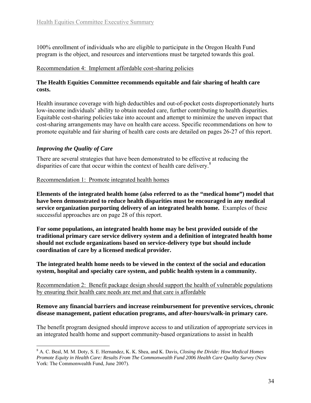<span id="page-35-0"></span>100% enrollment of individuals who are eligible to participate in the Oregon Health Fund program is the object, and resources and interventions must be targeted towards this goal.

#### Recommendation 4: Implement affordable cost-sharing policies

#### **The Health Equities Committee recommends equitable and fair sharing of health care costs.**

Health insurance coverage with high deductibles and out-of-pocket costs disproportionately hurts low-income individuals' ability to obtain needed care, further contributing to health disparities. Equitable cost-sharing policies take into account and attempt to minimize the uneven impact that cost-sharing arrangements may have on health care access. Specific recommendations on how to promote equitable and fair sharing of health care costs are detailed on pages 26-27 of this report.

## *Improving the Quality of Care*

There are several strategies that have been demonstrated to be effective at reducing the disparities of care that occur within the context of health care delivery. $8$ 

Recommendation 1: Promote integrated health homes

**Elements of the integrated health home (also referred to as the "medical home") model that have been demonstrated to reduce health disparities must be encouraged in any medical service organization purporting delivery of an integrated health home.** Examples of these successful approaches are on page 28 of this report.

**For some populations, an integrated health home may be best provided outside of the traditional primary care service delivery system and a definition of integrated health home should not exclude organizations based on service-delivery type but should include coordination of care by a licensed medical provider.** 

**The integrated health home needs to be viewed in the context of the social and education system, hospital and specialty care system, and public health system in a community.** 

Recommendation 2: Benefit package design should support the health of vulnerable populations by ensuring their health care needs are met and that care is affordable

#### **Remove any financial barriers and increase reimbursement for preventive services, chronic disease management, patient education programs, and after-hours/walk-in primary care.**

The benefit program designed should improve access to and utilization of appropriate services in an integrated health home and support community-based organizations to assist in health

 $\overline{a}$ 8 A. C. Beal, M. M. Doty, S. E. Hernandez, K. K. Shea, and K. Davis*, Closing the Divide: How Medical Homes Promote Equity in Health Care: Results From The Commonwealth Fund 2006 Health Care Quality Survey* (New York: The Commonwealth Fund, June 2007).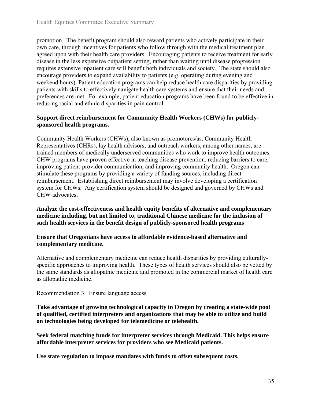promotion. The benefit program should also reward patients who actively participate in their own care, through incentives for patients who follow through with the medical treatment plan agreed upon with their health care providers. Encouraging patients to receive treatment for early disease in the less expensive outpatient setting, rather than waiting until disease progression requires extensive inpatient care will benefit both individuals and society. The state should also encourage providers to expand availability to patients (e.g. operating during evening and weekend hours). Patient education programs can help reduce health care disparities by providing patients with skills to effectively navigate health care systems and ensure that their needs and preferences are met. For example, patient education programs have been found to be effective in reducing racial and ethnic disparities in pain control.

#### **Support direct reimbursement for Community Health Workers (CHWs) for publiclysponsored health programs.**

Community Health Workers (CHWs), also known as promotores/as, Community Health Representatives (CHRs), lay health advisors, and outreach workers, among other names, are trained members of medically underserved communities who work to improve health outcomes. CHW programs have proven effective in teaching disease prevention, reducing barriers to care, improving patient-provider communication, and improving community health. Oregon can stimulate these programs by providing a variety of funding sources, including direct reimbursement. Establishing direct reimbursement may involve developing a certification system for CHWs. Any certification system should be designed and governed by CHWs and CHW advocates**.** 

**Analyze the cost-effectiveness and health equity benefits of alternative and complementary medicine including, but not limited to, traditional Chinese medicine for the inclusion of such health services in the benefit design of publicly-sponsored health programs**

#### **Ensure that Oregonians have access to affordable evidence-based alternative and complementary medicine.**

Alternative and complementary medicine can reduce health disparities by providing culturallyspecific approaches to improving health. These types of health services should also be vetted by the same standards as allopathic medicine and promoted in the commercial market of health care as allopathic medicine.

## Recommendation 3: Ensure language access

**Take advantage of growing technological capacity in Oregon by creating a state-wide pool of qualified, certified interpreters and organizations that may be able to utilize and build on technologies being developed for telemedicine or telehealth.** 

**Seek federal matching funds for interpreter services through Medicaid. This helps ensure affordable interpreter services for providers who see Medicaid patients.** 

**Use state regulation to impose mandates with funds to offset subsequent costs.**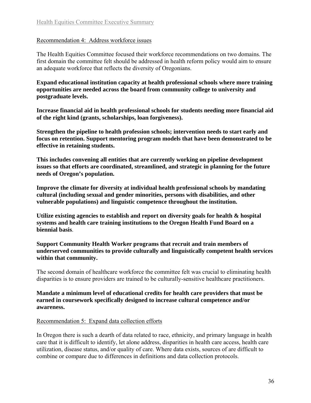#### Recommendation 4: Address workforce issues

The Health Equities Committee focused their workforce recommendations on two domains. The first domain the committee felt should be addressed in health reform policy would aim to ensure an adequate workforce that reflects the diversity of Oregonians.

**Expand educational institution capacity at health professional schools where more training opportunities are needed across the board from community college to university and postgraduate levels.** 

**Increase financial aid in health professional schools for students needing more financial aid of the right kind (grants, scholarships, loan forgiveness).**

**Strengthen the pipeline to health profession schools; intervention needs to start early and focus on retention. Support mentoring program models that have been demonstrated to be effective in retaining students.** 

**This includes convening all entities that are currently working on pipeline development issues so that efforts are coordinated, streamlined, and strategic in planning for the future needs of Oregon's population.** 

**Improve the climate for diversity at individual health professional schools by mandating cultural (including sexual and gender minorities, persons with disabilities, and other vulnerable populations) and linguistic competence throughout the institution.**

Utilize existing agencies to establish and report on diversity goals for health & hospital **systems and health care training institutions to the Oregon Health Fund Board on a biennial basis**.

#### **Support Community Health Worker programs that recruit and train members of underserved communities to provide culturally and linguistically competent health services within that community.**

The second domain of healthcare workforce the committee felt was crucial to eliminating health disparities is to ensure providers are trained to be culturally-sensitive healthcare practitioners.

**Mandate a minimum level of educational credits for health care providers that must be earned in coursework specifically designed to increase cultural competence and/or awareness.** 

#### Recommendation 5: Expand data collection efforts

In Oregon there is such a dearth of data related to race, ethnicity, and primary language in health care that it is difficult to identify, let alone address, disparities in health care access, health care utilization, disease status, and/or quality of care. Where data exists, sources of are difficult to combine or compare due to differences in definitions and data collection protocols.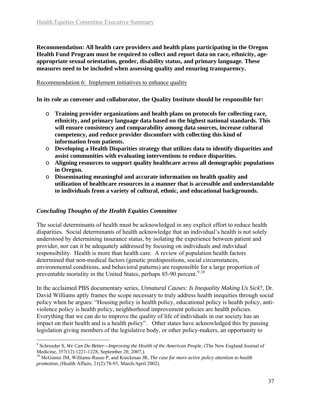<span id="page-38-0"></span>**Recommendation: All health care providers and health plans participating in the Oregon Health Fund Program must be required to collect and report data on race, ethnicity, ageappropriate sexual orientation, gender, disability status, and primary language. These measures need to be included when assessing quality and ensuring transparency.** 

#### Recommendation 6: Implement initiatives to enhance quality

**In its role as convener and collaborator, the Quality Institute should be responsible for:**

- o **Training provider organizations and health plans on protocols for collecting race, ethnicity, and primary language data based on the highest national standards. This will ensure consistency and comparability among data sources, increase cultural competency, and reduce provider discomfort with collecting this kind of information from patients.**
- o **Developing a Health Disparities strategy that utilizes data to identify disparities and assist communities with evaluating interventions to reduce disparities.**
- o **Aligning resources to support quality healthcare across all demographic populations in Oregon.**
- o **Disseminating meaningful and accurate information on health quality and utilization of healthcare resources in a manner that is accessible and understandable to individuals from a variety of cultural, ethnic, and educational backgrounds.**

#### *Concluding Thoughts of the Health Equities Committee*

 $\overline{a}$ 

The social determinants of health must be acknowledged in any explicit effort to reduce health disparities. Social determinants of health acknowledge that an individual's health is not solely understood by determining insurance status, by isolating the experience between patient and provider, nor can it be adequately addressed by focusing on individuals and individual responsibility. Health is more than health care. A review of population health factors determined that non-medical factors (genetic predispositions, social circumstances, environmental conditions, and behavioral patterns) are responsible for a large proportion of preventable mortality in the United States, perhaps  $85-90$  $85-90$  $85-90$  percent.<sup>9,[10](#page-38-0)</sup>

In the acclaimed PBS documentary series, *Unnatural Causes: Is Inequality Making Us Sick*?, Dr. David Williams aptly frames the scope necessary to truly address health inequities through social policy when he argues: "Housing policy is health policy, educational policy is health policy, antiviolence policy is health policy, neighborhood improvement policies are health policies. Everything that we can do to improve the quality of life of individuals in our society has an impact on their health and is a health policy". Other states have acknowledged this by passing legislation giving members of the legislative body, or other policy-makers, an opportunity to

<sup>9</sup> Schroeder S, *We Can Do Better—Improving the Health of the American People,* (The New England Journal of Medicine, 357(12):1221-1228, September 20, 2007;).

<sup>10</sup> McGinnis JM, Williams-Russo P, and Knickman JR, *The case for more active policy attention to health promotion,* (Health Affairs, 21(2):78-93, March/April 2002).